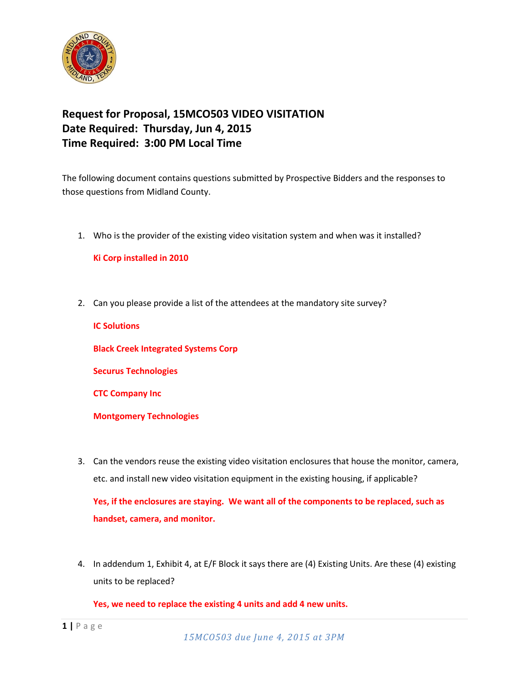

## **Request for Proposal, 15MCO503 VIDEO VISITATION Date Required: Thursday, Jun 4, 2015 Time Required: 3:00 PM Local Time**

The following document contains questions submitted by Prospective Bidders and the responses to those questions from Midland County.

1. Who is the provider of the existing video visitation system and when was it installed?

**Ki Corp installed in 2010**

2. Can you please provide a list of the attendees at the mandatory site survey?

**IC Solutions Black Creek Integrated Systems Corp Securus Technologies CTC Company Inc**

- **Montgomery Technologies**
- 3. Can the vendors reuse the existing video visitation enclosures that house the monitor, camera, etc. and install new video visitation equipment in the existing housing, if applicable?

**Yes, if the enclosures are staying. We want all of the components to be replaced, such as handset, camera, and monitor.**

4. In addendum 1, Exhibit 4, at E/F Block it says there are (4) Existing Units. Are these (4) existing units to be replaced?

## **Yes, we need to replace the existing 4 units and add 4 new units.**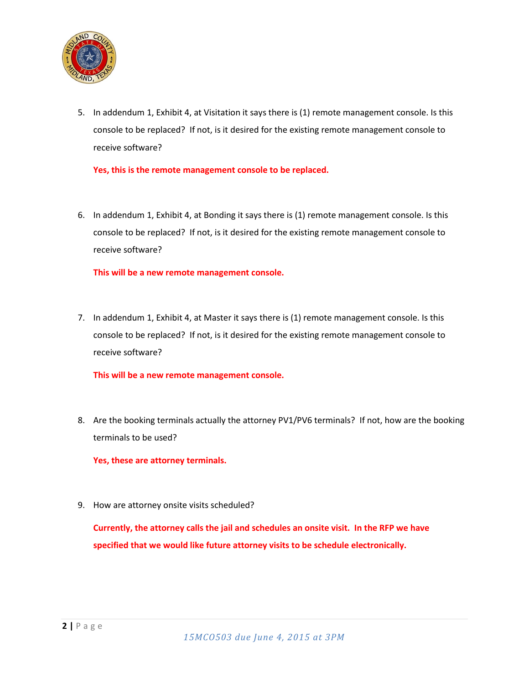

5. In addendum 1, Exhibit 4, at Visitation it says there is (1) remote management console. Is this console to be replaced? If not, is it desired for the existing remote management console to receive software?

**Yes, this is the remote management console to be replaced.**

6. In addendum 1, Exhibit 4, at Bonding it says there is (1) remote management console. Is this console to be replaced? If not, is it desired for the existing remote management console to receive software?

**This will be a new remote management console.**

7. In addendum 1, Exhibit 4, at Master it says there is (1) remote management console. Is this console to be replaced? If not, is it desired for the existing remote management console to receive software?

**This will be a new remote management console.**

8. Are the booking terminals actually the attorney PV1/PV6 terminals? If not, how are the booking terminals to be used?

**Yes, these are attorney terminals.**

9. How are attorney onsite visits scheduled?

**Currently, the attorney calls the jail and schedules an onsite visit. In the RFP we have specified that we would like future attorney visits to be schedule electronically.**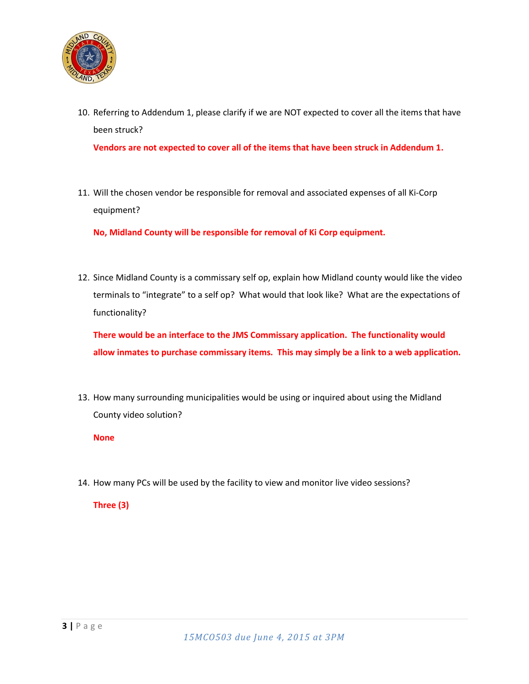

10. Referring to Addendum 1, please clarify if we are NOT expected to cover all the items that have been struck?

**Vendors are not expected to cover all of the items that have been struck in Addendum 1.**

11. Will the chosen vendor be responsible for removal and associated expenses of all Ki-Corp equipment?

**No, Midland County will be responsible for removal of Ki Corp equipment.**

12. Since Midland County is a commissary self op, explain how Midland county would like the video terminals to "integrate" to a self op? What would that look like? What are the expectations of functionality?

**There would be an interface to the JMS Commissary application. The functionality would allow inmates to purchase commissary items. This may simply be a link to a web application.**

13. How many surrounding municipalities would be using or inquired about using the Midland County video solution?

**None**

14. How many PCs will be used by the facility to view and monitor live video sessions?

**Three (3)**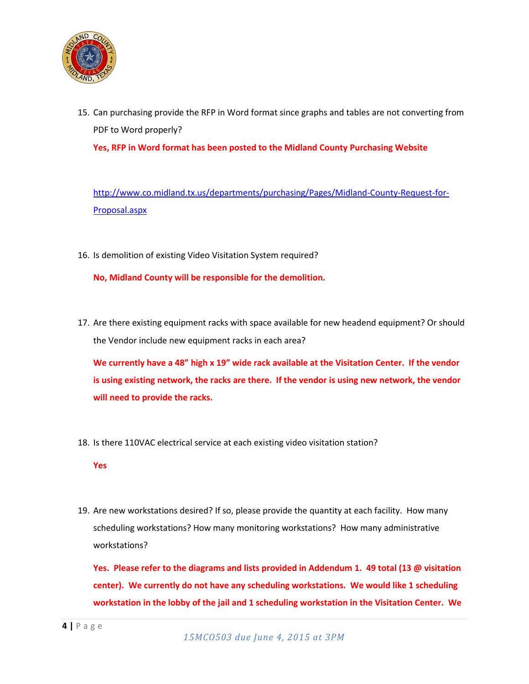

15. Can purchasing provide the RFP in Word format since graphs and tables are not converting from PDF to Word properly?

**Yes, RFP in Word format has been posted to the Midland County Purchasing Website**

[http://www.co.midland.tx.us/departments/purchasing/Pages/Midland-County-Request-for-](http://www.co.midland.tx.us/departments/purchasing/Pages/Midland-County-Request-for-Proposal.aspx)[Proposal.aspx](http://www.co.midland.tx.us/departments/purchasing/Pages/Midland-County-Request-for-Proposal.aspx)

16. Is demolition of existing Video Visitation System required?

**No, Midland County will be responsible for the demolition.**

17. Are there existing equipment racks with space available for new headend equipment? Or should the Vendor include new equipment racks in each area?

**We currently have a 48" high x 19" wide rack available at the Visitation Center. If the vendor is using existing network, the racks are there. If the vendor is using new network, the vendor will need to provide the racks.**

18. Is there 110VAC electrical service at each existing video visitation station?

**Yes**

19. Are new workstations desired? If so, please provide the quantity at each facility. How many scheduling workstations? How many monitoring workstations? How many administrative workstations?

**Yes. Please refer to the diagrams and lists provided in Addendum 1. 49 total (13 @ visitation center). We currently do not have any scheduling workstations. We would like 1 scheduling workstation in the lobby of the jail and 1 scheduling workstation in the Visitation Center. We**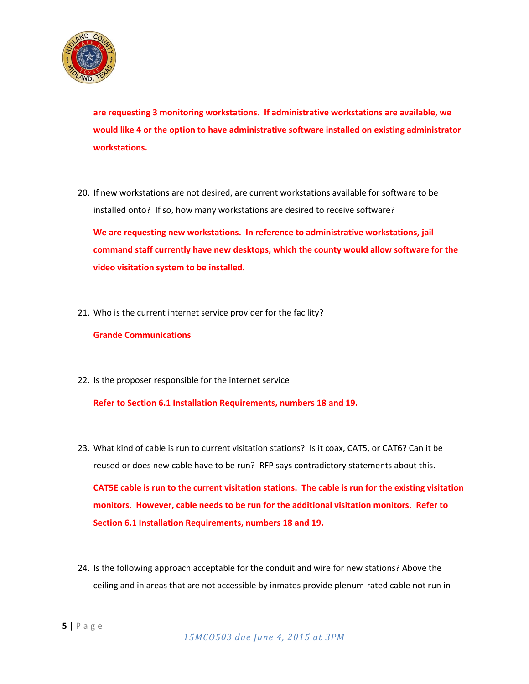

**are requesting 3 monitoring workstations. If administrative workstations are available, we would like 4 or the option to have administrative software installed on existing administrator workstations.**

20. If new workstations are not desired, are current workstations available for software to be installed onto? If so, how many workstations are desired to receive software?

**We are requesting new workstations. In reference to administrative workstations, jail command staff currently have new desktops, which the county would allow software for the video visitation system to be installed.**

21. Who is the current internet service provider for the facility?

## **Grande Communications**

22. Is the proposer responsible for the internet service

**Refer to Section 6.1 Installation Requirements, numbers 18 and 19.**

23. What kind of cable is run to current visitation stations? Is it coax, CAT5, or CAT6? Can it be reused or does new cable have to be run? RFP says contradictory statements about this.

**CAT5E cable is run to the current visitation stations. The cable is run for the existing visitation monitors. However, cable needs to be run for the additional visitation monitors. Refer to Section 6.1 Installation Requirements, numbers 18 and 19.**

24. Is the following approach acceptable for the conduit and wire for new stations? Above the ceiling and in areas that are not accessible by inmates provide plenum-rated cable not run in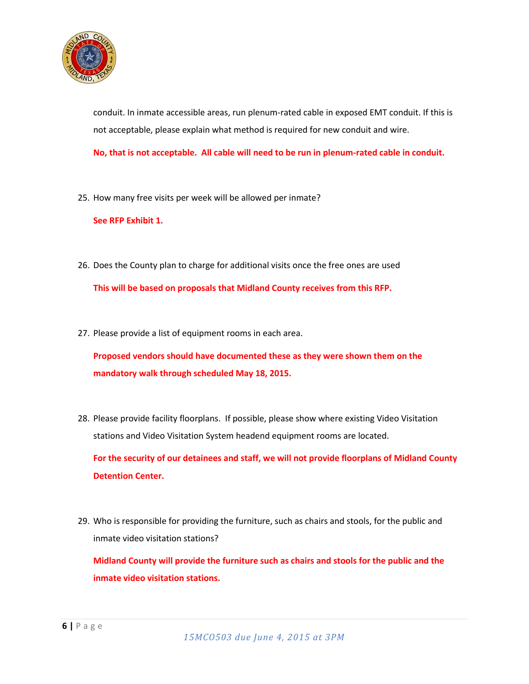

conduit. In inmate accessible areas, run plenum-rated cable in exposed EMT conduit. If this is not acceptable, please explain what method is required for new conduit and wire.

**No, that is not acceptable. All cable will need to be run in plenum-rated cable in conduit.**

25. How many free visits per week will be allowed per inmate?

**See RFP Exhibit 1.**

- 26. Does the County plan to charge for additional visits once the free ones are used **This will be based on proposals that Midland County receives from this RFP.**
- 27. Please provide a list of equipment rooms in each area.

**Proposed vendors should have documented these as they were shown them on the mandatory walk through scheduled May 18, 2015.**

28. Please provide facility floorplans. If possible, please show where existing Video Visitation stations and Video Visitation System headend equipment rooms are located.

**For the security of our detainees and staff, we will not provide floorplans of Midland County Detention Center.** 

29. Who is responsible for providing the furniture, such as chairs and stools, for the public and inmate video visitation stations?

**Midland County will provide the furniture such as chairs and stools for the public and the inmate video visitation stations.**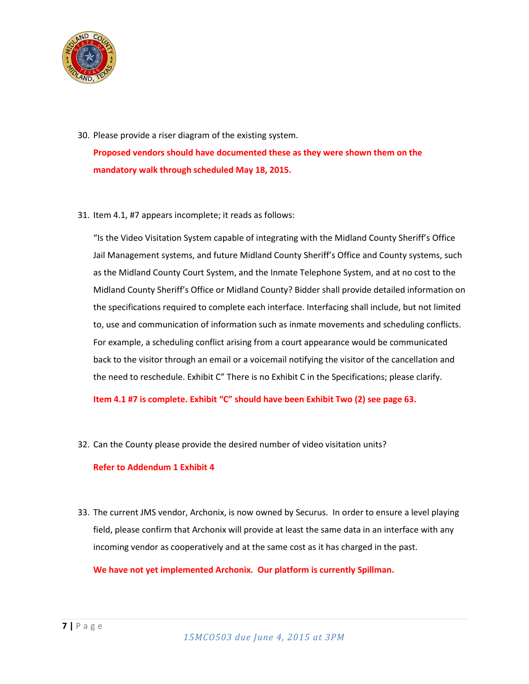

- 30. Please provide a riser diagram of the existing system. **Proposed vendors should have documented these as they were shown them on the mandatory walk through scheduled May 18, 2015.**
- 31. Item 4.1, #7 appears incomplete; it reads as follows:

"Is the Video Visitation System capable of integrating with the Midland County Sheriff's Office Jail Management systems, and future Midland County Sheriff's Office and County systems, such as the Midland County Court System, and the Inmate Telephone System, and at no cost to the Midland County Sheriff's Office or Midland County? Bidder shall provide detailed information on the specifications required to complete each interface. Interfacing shall include, but not limited to, use and communication of information such as inmate movements and scheduling conflicts. For example, a scheduling conflict arising from a court appearance would be communicated back to the visitor through an email or a voicemail notifying the visitor of the cancellation and the need to reschedule. Exhibit C" There is no Exhibit C in the Specifications; please clarify.

**Item 4.1 #7 is complete. Exhibit "C" should have been Exhibit Two (2) see page 63.**

32. Can the County please provide the desired number of video visitation units?

**Refer to Addendum 1 Exhibit 4**

33. The current JMS vendor, Archonix, is now owned by Securus. In order to ensure a level playing field, please confirm that Archonix will provide at least the same data in an interface with any incoming vendor as cooperatively and at the same cost as it has charged in the past.

**We have not yet implemented Archonix. Our platform is currently Spillman.**